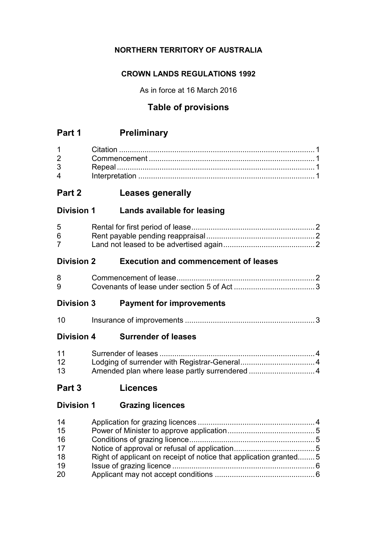# **NORTHERN TERRITORY OF AUSTRALIA**

# **CROWN LANDS REGULATIONS 1992**

As in force at 16 March 2016

# **Table of provisions**

# **Part 1 Preliminary**

| $1 \quad \blacksquare$         |  |
|--------------------------------|--|
| $2 \left( \frac{1}{2} \right)$ |  |
| $3 \quad \blacksquare$         |  |
| $\mathbf 4$                    |  |

# **Part 2 Leases generally**

# **Division 1 Lands available for leasing**

| 5 <sup>5</sup> |  |
|----------------|--|
| 6              |  |
|                |  |

# **Division 2 Execution and commencement of leases**

# **Division 3 Payment for improvements**

| <u> 10</u> |  |
|------------|--|
|------------|--|

# **Division 4 Surrender of leases**

| 11              |  |
|-----------------|--|
| 12              |  |
| 13 <sup>7</sup> |  |

**Part 3 Licences**

# **Division 1 Grazing licences**

| 14 |                                                                   |  |
|----|-------------------------------------------------------------------|--|
| 15 |                                                                   |  |
| 16 |                                                                   |  |
| 17 |                                                                   |  |
| 18 | Right of applicant on receipt of notice that application granted5 |  |
| 19 |                                                                   |  |
| 20 |                                                                   |  |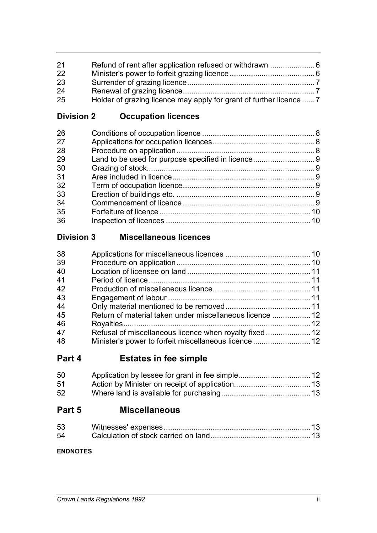| 21 |                                                                     |  |
|----|---------------------------------------------------------------------|--|
| 22 |                                                                     |  |
| 23 |                                                                     |  |
| 24 |                                                                     |  |
| 25 | Holder of grazing licence may apply for grant of further licence  7 |  |
|    |                                                                     |  |

**Division 2 Occupation licences**

# **Division 3 Miscellaneous licences**

| 38 |                                                          |  |
|----|----------------------------------------------------------|--|
| 39 |                                                          |  |
| 40 |                                                          |  |
| 41 |                                                          |  |
| 42 |                                                          |  |
| 43 |                                                          |  |
| 44 |                                                          |  |
| 45 | Return of material taken under miscellaneous licence  12 |  |
| 46 |                                                          |  |
| 47 |                                                          |  |
| 48 |                                                          |  |

# **Part 4 Estates in fee simple**

| 50 |  |
|----|--|
| 51 |  |
| 52 |  |

# **Part 5 Miscellaneous**

| 53 |  |
|----|--|
| 54 |  |

# **ENDNOTES**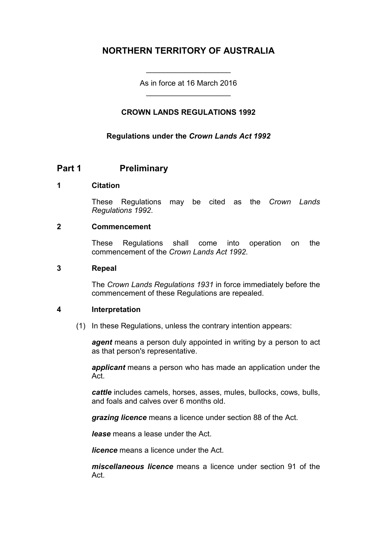# **NORTHERN TERRITORY OF AUSTRALIA**

As in force at 16 March 2016 \_\_\_\_\_\_\_\_\_\_\_\_\_\_\_\_\_\_\_\_

\_\_\_\_\_\_\_\_\_\_\_\_\_\_\_\_\_\_\_\_

# **CROWN LANDS REGULATIONS 1992**

#### **Regulations under the** *Crown Lands Act 1992*

# **Part 1 Preliminary**

#### **1 Citation**

These Regulations may be cited as the *Crown Lands Regulations 1992*.

#### **2 Commencement**

These Regulations shall come into operation on the commencement of the *Crown Lands Act 1992*.

#### **3 Repeal**

The *Crown Lands Regulations 1931* in force immediately before the commencement of these Regulations are repealed.

#### **4 Interpretation**

(1) In these Regulations, unless the contrary intention appears:

*agent* means a person duly appointed in writing by a person to act as that person's representative.

*applicant* means a person who has made an application under the Act.

*cattle* includes camels, horses, asses, mules, bullocks, cows, bulls, and foals and calves over 6 months old.

*grazing licence* means a licence under section 88 of the Act.

*lease* means a lease under the Act.

*licence* means a licence under the Act.

*miscellaneous licence* means a licence under section 91 of the Act.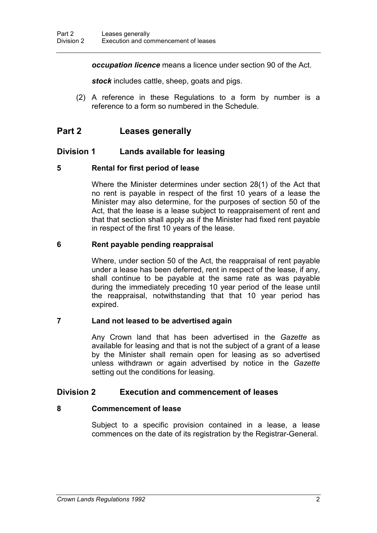*occupation licence* means a licence under section 90 of the Act.

*stock* includes cattle, sheep, goats and pigs.

(2) A reference in these Regulations to a form by number is a reference to a form so numbered in the Schedule.

# **Part 2 Leases generally**

## **Division 1 Lands available for leasing**

#### **5 Rental for first period of lease**

Where the Minister determines under section 28(1) of the Act that no rent is payable in respect of the first 10 years of a lease the Minister may also determine, for the purposes of section 50 of the Act, that the lease is a lease subject to reappraisement of rent and that that section shall apply as if the Minister had fixed rent payable in respect of the first 10 years of the lease.

#### **6 Rent payable pending reappraisal**

Where, under section 50 of the Act, the reappraisal of rent payable under a lease has been deferred, rent in respect of the lease, if any, shall continue to be payable at the same rate as was payable during the immediately preceding 10 year period of the lease until the reappraisal, notwithstanding that that 10 year period has expired.

#### **7 Land not leased to be advertised again**

Any Crown land that has been advertised in the *Gazette* as available for leasing and that is not the subject of a grant of a lease by the Minister shall remain open for leasing as so advertised unless withdrawn or again advertised by notice in the *Gazette* setting out the conditions for leasing.

## **Division 2 Execution and commencement of leases**

## **8 Commencement of lease**

Subject to a specific provision contained in a lease, a lease commences on the date of its registration by the Registrar-General.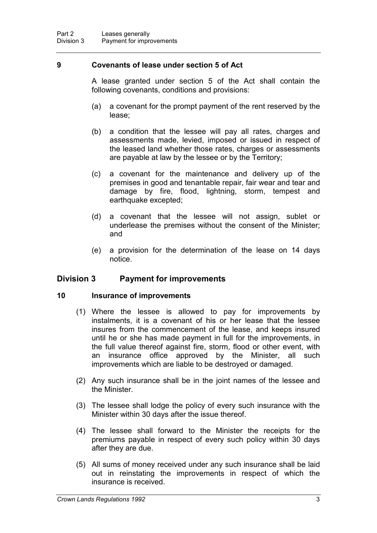#### **9 Covenants of lease under section 5 of Act**

A lease granted under section 5 of the Act shall contain the following covenants, conditions and provisions:

- (a) a covenant for the prompt payment of the rent reserved by the lease;
- (b) a condition that the lessee will pay all rates, charges and assessments made, levied, imposed or issued in respect of the leased land whether those rates, charges or assessments are payable at law by the lessee or by the Territory;
- (c) a covenant for the maintenance and delivery up of the premises in good and tenantable repair, fair wear and tear and damage by fire, flood, lightning, storm, tempest and earthquake excepted;
- (d) a covenant that the lessee will not assign, sublet or underlease the premises without the consent of the Minister; and
- (e) a provision for the determination of the lease on 14 days notice.

## **Division 3 Payment for improvements**

#### **10 Insurance of improvements**

- (1) Where the lessee is allowed to pay for improvements by instalments, it is a covenant of his or her lease that the lessee insures from the commencement of the lease, and keeps insured until he or she has made payment in full for the improvements, in the full value thereof against fire, storm, flood or other event, with an insurance office approved by the Minister, all such improvements which are liable to be destroyed or damaged.
- (2) Any such insurance shall be in the joint names of the lessee and the Minister.
- (3) The lessee shall lodge the policy of every such insurance with the Minister within 30 days after the issue thereof.
- (4) The lessee shall forward to the Minister the receipts for the premiums payable in respect of every such policy within 30 days after they are due.
- (5) All sums of money received under any such insurance shall be laid out in reinstating the improvements in respect of which the insurance is received.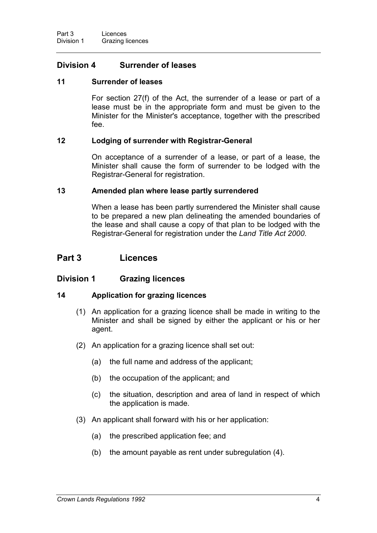# **Division 4 Surrender of leases**

#### **11 Surrender of leases**

For section 27(f) of the Act, the surrender of a lease or part of a lease must be in the appropriate form and must be given to the Minister for the Minister's acceptance, together with the prescribed fee.

#### **12 Lodging of surrender with Registrar-General**

On acceptance of a surrender of a lease, or part of a lease, the Minister shall cause the form of surrender to be lodged with the Registrar-General for registration.

#### **13 Amended plan where lease partly surrendered**

When a lease has been partly surrendered the Minister shall cause to be prepared a new plan delineating the amended boundaries of the lease and shall cause a copy of that plan to be lodged with the Registrar-General for registration under the *Land Title Act 2000*.

# **Part 3 Licences**

## **Division 1 Grazing licences**

#### **14 Application for grazing licences**

- (1) An application for a grazing licence shall be made in writing to the Minister and shall be signed by either the applicant or his or her agent.
- (2) An application for a grazing licence shall set out:
	- (a) the full name and address of the applicant;
	- (b) the occupation of the applicant; and
	- (c) the situation, description and area of land in respect of which the application is made.
- (3) An applicant shall forward with his or her application:
	- (a) the prescribed application fee; and
	- (b) the amount payable as rent under subregulation (4).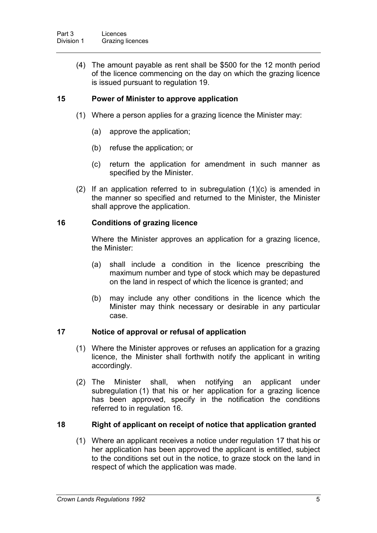(4) The amount payable as rent shall be \$500 for the 12 month period of the licence commencing on the day on which the grazing licence is issued pursuant to regulation 19.

## **15 Power of Minister to approve application**

- (1) Where a person applies for a grazing licence the Minister may:
	- (a) approve the application;
	- (b) refuse the application; or
	- (c) return the application for amendment in such manner as specified by the Minister.
- (2) If an application referred to in subregulation (1)(c) is amended in the manner so specified and returned to the Minister, the Minister shall approve the application.

#### **16 Conditions of grazing licence**

Where the Minister approves an application for a grazing licence, the Minister:

- (a) shall include a condition in the licence prescribing the maximum number and type of stock which may be depastured on the land in respect of which the licence is granted; and
- (b) may include any other conditions in the licence which the Minister may think necessary or desirable in any particular case.

## **17 Notice of approval or refusal of application**

- (1) Where the Minister approves or refuses an application for a grazing licence, the Minister shall forthwith notify the applicant in writing accordingly.
- (2) The Minister shall, when notifying an applicant under subregulation (1) that his or her application for a grazing licence has been approved, specify in the notification the conditions referred to in regulation 16.

## **18 Right of applicant on receipt of notice that application granted**

(1) Where an applicant receives a notice under regulation 17 that his or her application has been approved the applicant is entitled, subject to the conditions set out in the notice, to graze stock on the land in respect of which the application was made.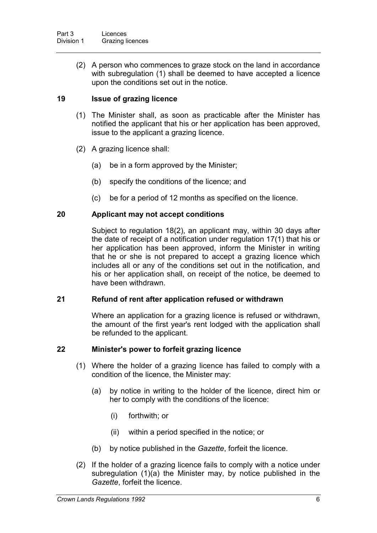(2) A person who commences to graze stock on the land in accordance with subregulation (1) shall be deemed to have accepted a licence upon the conditions set out in the notice.

## **19 Issue of grazing licence**

- (1) The Minister shall, as soon as practicable after the Minister has notified the applicant that his or her application has been approved, issue to the applicant a grazing licence.
- (2) A grazing licence shall:
	- (a) be in a form approved by the Minister;
	- (b) specify the conditions of the licence; and
	- (c) be for a period of 12 months as specified on the licence.

#### **20 Applicant may not accept conditions**

Subject to regulation 18(2), an applicant may, within 30 days after the date of receipt of a notification under regulation 17(1) that his or her application has been approved, inform the Minister in writing that he or she is not prepared to accept a grazing licence which includes all or any of the conditions set out in the notification, and his or her application shall, on receipt of the notice, be deemed to have been withdrawn.

#### **21 Refund of rent after application refused or withdrawn**

Where an application for a grazing licence is refused or withdrawn, the amount of the first year's rent lodged with the application shall be refunded to the applicant.

#### **22 Minister's power to forfeit grazing licence**

- (1) Where the holder of a grazing licence has failed to comply with a condition of the licence, the Minister may:
	- (a) by notice in writing to the holder of the licence, direct him or her to comply with the conditions of the licence:
		- (i) forthwith; or
		- (ii) within a period specified in the notice; or
	- (b) by notice published in the *Gazette*, forfeit the licence.
- (2) If the holder of a grazing licence fails to comply with a notice under subregulation (1)(a) the Minister may, by notice published in the *Gazette*, forfeit the licence.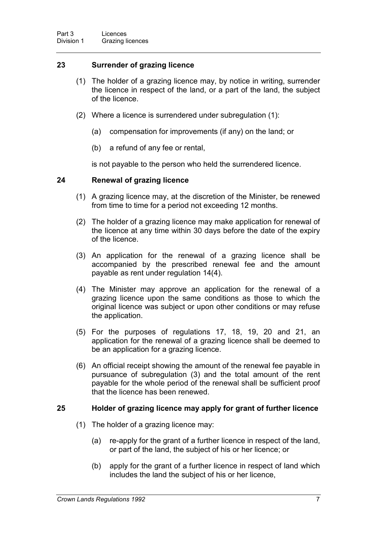### **23 Surrender of grazing licence**

- (1) The holder of a grazing licence may, by notice in writing, surrender the licence in respect of the land, or a part of the land, the subject of the licence.
- (2) Where a licence is surrendered under subregulation (1):
	- (a) compensation for improvements (if any) on the land; or
	- (b) a refund of any fee or rental,

is not payable to the person who held the surrendered licence.

#### **24 Renewal of grazing licence**

- (1) A grazing licence may, at the discretion of the Minister, be renewed from time to time for a period not exceeding 12 months.
- (2) The holder of a grazing licence may make application for renewal of the licence at any time within 30 days before the date of the expiry of the licence.
- (3) An application for the renewal of a grazing licence shall be accompanied by the prescribed renewal fee and the amount payable as rent under regulation 14(4).
- (4) The Minister may approve an application for the renewal of a grazing licence upon the same conditions as those to which the original licence was subject or upon other conditions or may refuse the application.
- (5) For the purposes of regulations 17, 18, 19, 20 and 21, an application for the renewal of a grazing licence shall be deemed to be an application for a grazing licence.
- (6) An official receipt showing the amount of the renewal fee payable in pursuance of subregulation (3) and the total amount of the rent payable for the whole period of the renewal shall be sufficient proof that the licence has been renewed.

#### **25 Holder of grazing licence may apply for grant of further licence**

- (1) The holder of a grazing licence may:
	- (a) re-apply for the grant of a further licence in respect of the land, or part of the land, the subject of his or her licence; or
	- (b) apply for the grant of a further licence in respect of land which includes the land the subject of his or her licence,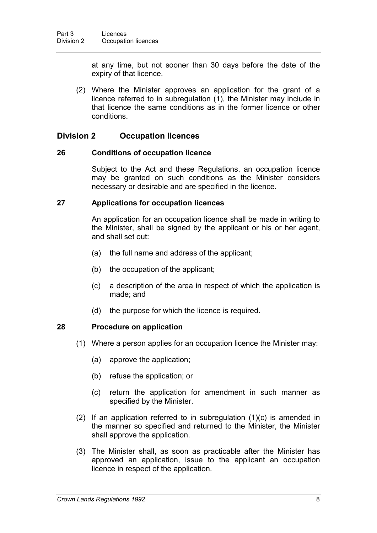at any time, but not sooner than 30 days before the date of the expiry of that licence.

(2) Where the Minister approves an application for the grant of a licence referred to in subregulation (1), the Minister may include in that licence the same conditions as in the former licence or other conditions.

## **Division 2 Occupation licences**

#### **26 Conditions of occupation licence**

Subject to the Act and these Regulations, an occupation licence may be granted on such conditions as the Minister considers necessary or desirable and are specified in the licence.

#### **27 Applications for occupation licences**

An application for an occupation licence shall be made in writing to the Minister, shall be signed by the applicant or his or her agent, and shall set out:

- (a) the full name and address of the applicant;
- (b) the occupation of the applicant;
- (c) a description of the area in respect of which the application is made; and
- (d) the purpose for which the licence is required.

#### **28 Procedure on application**

- (1) Where a person applies for an occupation licence the Minister may:
	- (a) approve the application;
	- (b) refuse the application; or
	- (c) return the application for amendment in such manner as specified by the Minister.
- (2) If an application referred to in subregulation (1)(c) is amended in the manner so specified and returned to the Minister, the Minister shall approve the application.
- (3) The Minister shall, as soon as practicable after the Minister has approved an application, issue to the applicant an occupation licence in respect of the application.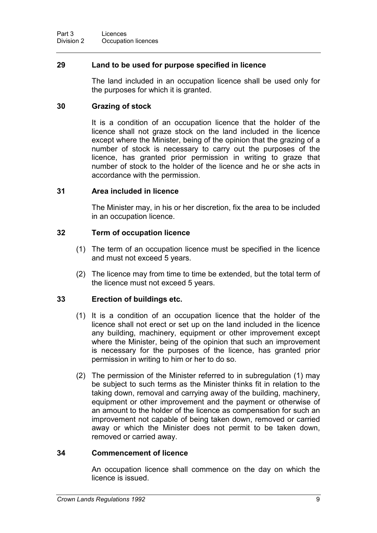#### **29 Land to be used for purpose specified in licence**

The land included in an occupation licence shall be used only for the purposes for which it is granted.

#### **30 Grazing of stock**

It is a condition of an occupation licence that the holder of the licence shall not graze stock on the land included in the licence except where the Minister, being of the opinion that the grazing of a number of stock is necessary to carry out the purposes of the licence, has granted prior permission in writing to graze that number of stock to the holder of the licence and he or she acts in accordance with the permission.

#### **31 Area included in licence**

The Minister may, in his or her discretion, fix the area to be included in an occupation licence.

#### **32 Term of occupation licence**

- (1) The term of an occupation licence must be specified in the licence and must not exceed 5 years.
- (2) The licence may from time to time be extended, but the total term of the licence must not exceed 5 years.

## **33 Erection of buildings etc.**

- (1) It is a condition of an occupation licence that the holder of the licence shall not erect or set up on the land included in the licence any building, machinery, equipment or other improvement except where the Minister, being of the opinion that such an improvement is necessary for the purposes of the licence, has granted prior permission in writing to him or her to do so.
- (2) The permission of the Minister referred to in subregulation (1) may be subject to such terms as the Minister thinks fit in relation to the taking down, removal and carrying away of the building, machinery, equipment or other improvement and the payment or otherwise of an amount to the holder of the licence as compensation for such an improvement not capable of being taken down, removed or carried away or which the Minister does not permit to be taken down, removed or carried away.

## **34 Commencement of licence**

An occupation licence shall commence on the day on which the licence is issued.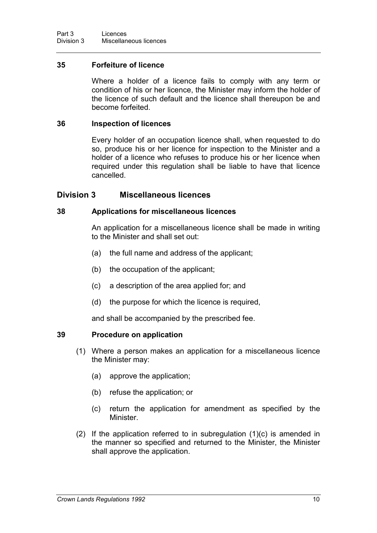#### **35 Forfeiture of licence**

Where a holder of a licence fails to comply with any term or condition of his or her licence, the Minister may inform the holder of the licence of such default and the licence shall thereupon be and become forfeited.

#### **36 Inspection of licences**

Every holder of an occupation licence shall, when requested to do so, produce his or her licence for inspection to the Minister and a holder of a licence who refuses to produce his or her licence when required under this regulation shall be liable to have that licence cancelled.

#### **Division 3 Miscellaneous licences**

#### **38 Applications for miscellaneous licences**

An application for a miscellaneous licence shall be made in writing to the Minister and shall set out:

- (a) the full name and address of the applicant;
- (b) the occupation of the applicant;
- (c) a description of the area applied for; and
- (d) the purpose for which the licence is required,

and shall be accompanied by the prescribed fee.

#### **39 Procedure on application**

- (1) Where a person makes an application for a miscellaneous licence the Minister may:
	- (a) approve the application;
	- (b) refuse the application; or
	- (c) return the application for amendment as specified by the Minister.
- (2) If the application referred to in subregulation (1)(c) is amended in the manner so specified and returned to the Minister, the Minister shall approve the application.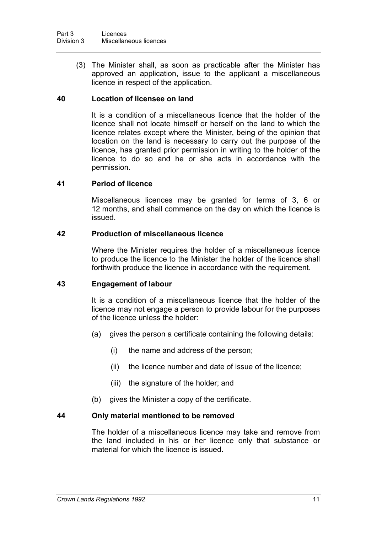(3) The Minister shall, as soon as practicable after the Minister has approved an application, issue to the applicant a miscellaneous licence in respect of the application.

#### **40 Location of licensee on land**

It is a condition of a miscellaneous licence that the holder of the licence shall not locate himself or herself on the land to which the licence relates except where the Minister, being of the opinion that location on the land is necessary to carry out the purpose of the licence, has granted prior permission in writing to the holder of the licence to do so and he or she acts in accordance with the permission.

#### **41 Period of licence**

Miscellaneous licences may be granted for terms of 3, 6 or 12 months, and shall commence on the day on which the licence is issued.

#### **42 Production of miscellaneous licence**

Where the Minister requires the holder of a miscellaneous licence to produce the licence to the Minister the holder of the licence shall forthwith produce the licence in accordance with the requirement.

#### **43 Engagement of labour**

It is a condition of a miscellaneous licence that the holder of the licence may not engage a person to provide labour for the purposes of the licence unless the holder:

- (a) gives the person a certificate containing the following details:
	- (i) the name and address of the person;
	- (ii) the licence number and date of issue of the licence;
	- (iii) the signature of the holder; and
- (b) gives the Minister a copy of the certificate.

#### **44 Only material mentioned to be removed**

The holder of a miscellaneous licence may take and remove from the land included in his or her licence only that substance or material for which the licence is issued.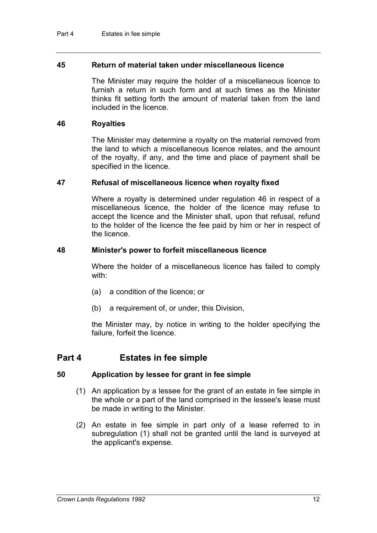#### **45 Return of material taken under miscellaneous licence**

The Minister may require the holder of a miscellaneous licence to furnish a return in such form and at such times as the Minister thinks fit setting forth the amount of material taken from the land included in the licence.

#### **46 Royalties**

The Minister may determine a royalty on the material removed from the land to which a miscellaneous licence relates, and the amount of the royalty, if any, and the time and place of payment shall be specified in the licence.

#### **47 Refusal of miscellaneous licence when royalty fixed**

Where a royalty is determined under regulation 46 in respect of a miscellaneous licence, the holder of the licence may refuse to accept the licence and the Minister shall, upon that refusal, refund to the holder of the licence the fee paid by him or her in respect of the licence.

#### **48 Minister's power to forfeit miscellaneous licence**

Where the holder of a miscellaneous licence has failed to comply with:

- (a) a condition of the licence; or
- (b) a requirement of, or under, this Division,

the Minister may, by notice in writing to the holder specifying the failure, forfeit the licence.

# **Part 4 Estates in fee simple**

#### **50 Application by lessee for grant in fee simple**

- (1) An application by a lessee for the grant of an estate in fee simple in the whole or a part of the land comprised in the lessee's lease must be made in writing to the Minister.
- (2) An estate in fee simple in part only of a lease referred to in subregulation (1) shall not be granted until the land is surveyed at the applicant's expense.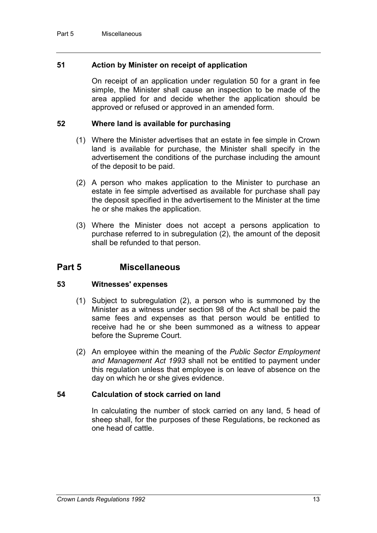#### **51 Action by Minister on receipt of application**

On receipt of an application under regulation 50 for a grant in fee simple, the Minister shall cause an inspection to be made of the area applied for and decide whether the application should be approved or refused or approved in an amended form.

#### **52 Where land is available for purchasing**

- (1) Where the Minister advertises that an estate in fee simple in Crown land is available for purchase, the Minister shall specify in the advertisement the conditions of the purchase including the amount of the deposit to be paid.
- (2) A person who makes application to the Minister to purchase an estate in fee simple advertised as available for purchase shall pay the deposit specified in the advertisement to the Minister at the time he or she makes the application.
- (3) Where the Minister does not accept a persons application to purchase referred to in subregulation (2), the amount of the deposit shall be refunded to that person.

# **Part 5 Miscellaneous**

#### **53 Witnesses' expenses**

- (1) Subject to subregulation (2), a person who is summoned by the Minister as a witness under section 98 of the Act shall be paid the same fees and expenses as that person would be entitled to receive had he or she been summoned as a witness to appear before the Supreme Court.
- (2) An employee within the meaning of the *Public Sector Employment and Management Act 1993* shall not be entitled to payment under this regulation unless that employee is on leave of absence on the day on which he or she gives evidence.

#### **54 Calculation of stock carried on land**

In calculating the number of stock carried on any land, 5 head of sheep shall, for the purposes of these Regulations, be reckoned as one head of cattle.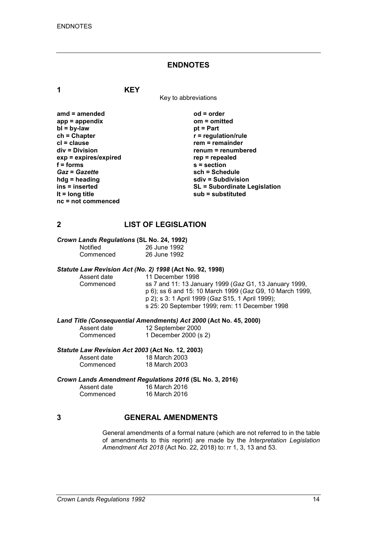#### **ENDNOTES**

**1 KEY**

Key to abbreviations

| amd = amended           |
|-------------------------|
| $app = appendix$        |
| $bl = by-law$           |
| $ch = Chapter$          |
| $cl = clause$           |
| div = Division          |
| $exp = expires/expired$ |
| $f = form$              |
| <b>Gaz = Gazette</b>    |
| hdg = heading           |
| ins = inserted          |
| It = long title         |
| nc = not commenced      |

**amd = amended od = order app = appendix om = omitted** *<u>pt</u>* **= Part**  $r$  = regulation/rule **crem** = remainder **div = Division renum = renumbered exp = expires/expired rep = repealed f = forms s = section** *Gaz* **=** *Gazette* **sch = Schedule hdg = heading sdiv = Subdivision ins = inserted SL = Subordinate Legislation lt = long title sub = substituted**

#### **2 LIST OF LEGISLATION**

#### *Crown Lands Regulations* **(SL No. 24, 1992)**

| <b>Notified</b> | 26 June 1992 |
|-----------------|--------------|
| Commenced       | 26 June 1992 |

# *Statute Law Revision Act (No. 2) 1998* **(Act No. 92, 1998)**

Assent date 11 December 1998<br>Commenced ss 7 and 11: 13 Jan Commenced ss 7 and 11: 13 January 1999 (*Gaz* G1, 13 January 1999, p 6); ss 6 and 15: 10 March 1999 (*Gaz* G9, 10 March 1999, p 2); s 3: 1 April 1999 (*Gaz* S15, 1 April 1999); s 25: 20 September 1999; rem: 11 December 1998

*Land Title (Consequential Amendments) Act 2000* **(Act No. 45, 2000)**

| Assent date | 12 September 2000     |
|-------------|-----------------------|
| Commenced   | 1 December 2000 (s 2) |

# *Statute Law Revision Act 2003* **(Act No. 12, 2003)**

| Assent date | 18 March 2003 |
|-------------|---------------|
| Commenced   | 18 March 2003 |

#### *Crown Lands Amendment Regulations 2016* **(SL No. 3, 2016)**

| Assent date | 16 March 2016 |  |
|-------------|---------------|--|
| Commenced   | 16 March 2016 |  |

#### **3 GENERAL AMENDMENTS**

General amendments of a formal nature (which are not referred to in the table of amendments to this reprint) are made by the *Interpretation Legislation Amendment Act 2018* (Act No. 22, 2018) to: rr 1, 3, 13 and 53.